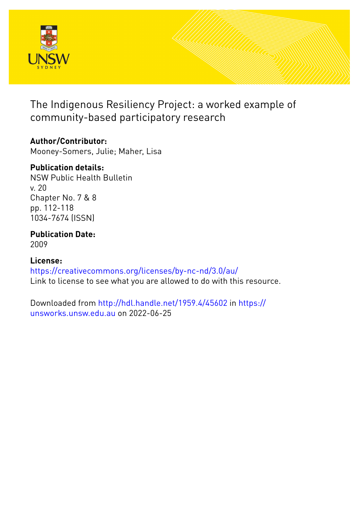

The Indigenous Resiliency Project: a worked example of community-based participatory research

# **Author/Contributor:**

Mooney-Somers, Julie; Maher, Lisa

# **Publication details:**

NSW Public Health Bulletin v. 20 Chapter No. 7 & 8 pp. 112-118 1034-7674 (ISSN)

# **Publication Date:**

2009

# **License:**

<https://creativecommons.org/licenses/by-nc-nd/3.0/au/> Link to license to see what you are allowed to do with this resource.

Downloaded from <http://hdl.handle.net/1959.4/45602> in [https://](https://unsworks.unsw.edu.au) [unsworks.unsw.edu.au](https://unsworks.unsw.edu.au) on 2022-06-25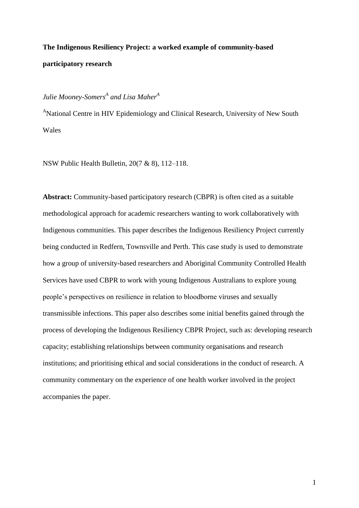# **The Indigenous Resiliency Project: a worked example of community-based participatory research**

## *Julie Mooney-Somers<sup>A</sup> and Lisa Maher<sup>A</sup>*

<sup>A</sup>National Centre in HIV Epidemiology and Clinical Research, University of New South Wales

NSW Public Health Bulletin, 20(7 & 8), 112–118.

**Abstract:** Community-based participatory research (CBPR) is often cited as a suitable methodological approach for academic researchers wanting to work collaboratively with Indigenous communities. This paper describes the Indigenous Resiliency Project currently being conducted in Redfern, Townsville and Perth. This case study is used to demonstrate how a group of university-based researchers and Aboriginal Community Controlled Health Services have used CBPR to work with young Indigenous Australians to explore young people"s perspectives on resilience in relation to bloodborne viruses and sexually transmissible infections. This paper also describes some initial benefits gained through the process of developing the Indigenous Resiliency CBPR Project, such as: developing research capacity; establishing relationships between community organisations and research institutions; and prioritising ethical and social considerations in the conduct of research. A community commentary on the experience of one health worker involved in the project accompanies the paper.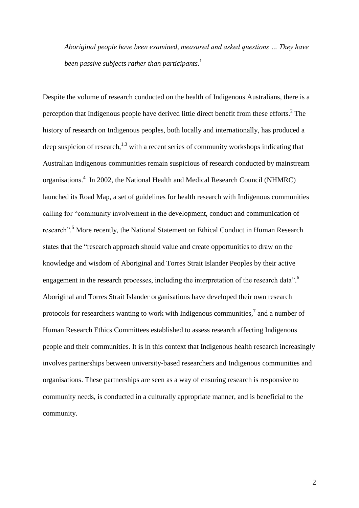*Aboriginal people have been examined, measured and asked questions … They have been passive subjects rather than participants.* 1

Despite the volume of research conducted on the health of Indigenous Australians, there is a perception that Indigenous people have derived little direct benefit from these efforts. $2$  The history of research on Indigenous peoples, both locally and internationally, has produced a deep suspicion of research,<sup>1,3</sup> with a recent series of community workshops indicating that Australian Indigenous communities remain suspicious of research conducted by mainstream organisations. 4 In 2002, the National Health and Medical Research Council (NHMRC) launched its Road Map, a set of guidelines for health research with Indigenous communities calling for "community involvement in the development, conduct and communication of research".<sup>5</sup> More recently, the National Statement on Ethical Conduct in Human Research states that the "research approach should value and create opportunities to draw on the knowledge and wisdom of Aboriginal and Torres Strait Islander Peoples by their active engagement in the research processes, including the interpretation of the research data".<sup>6</sup> Aboriginal and Torres Strait Islander organisations have developed their own research protocols for researchers wanting to work with Indigenous communities, $\alpha$  and a number of Human Research Ethics Committees established to assess research affecting Indigenous people and their communities. It is in this context that Indigenous health research increasingly involves partnerships between university-based researchers and Indigenous communities and organisations. These partnerships are seen as a way of ensuring research is responsive to community needs, is conducted in a culturally appropriate manner, and is beneficial to the community.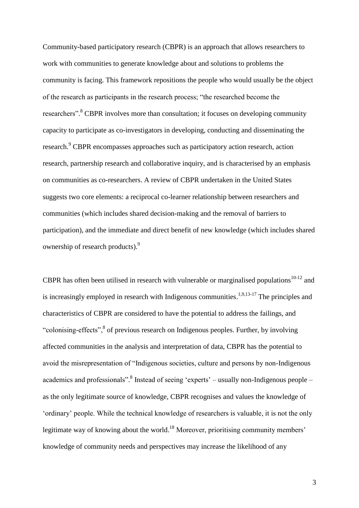Community-based participatory research (CBPR) is an approach that allows researchers to work with communities to generate knowledge about and solutions to problems the community is facing. This framework repositions the people who would usually be the object of the research as participants in the research process; "the researched become the researchers".<sup>8</sup> CBPR involves more than consultation; it focuses on developing community capacity to participate as co-investigators in developing, conducting and disseminating the research.<sup>9</sup> CBPR encompasses approaches such as participatory action research, action research, partnership research and collaborative inquiry, and is characterised by an emphasis on communities as co-researchers. A review of CBPR undertaken in the United States suggests two core elements: a reciprocal co-learner relationship between researchers and communities (which includes shared decision-making and the removal of barriers to participation), and the immediate and direct benefit of new knowledge (which includes shared ownership of research products).<sup>9</sup>

CBPR has often been utilised in research with vulnerable or marginalised populations<sup>10-12</sup> and is increasingly employed in research with Indigenous communities.<sup>1,9,13-17</sup> The principles and characteristics of CBPR are considered to have the potential to address the failings, and "colonising-effects",<sup>8</sup> of previous research on Indigenous peoples. Further, by involving affected communities in the analysis and interpretation of data, CBPR has the potential to avoid the misrepresentation of "Indigenous societies, culture and persons by non-Indigenous academics and professionals".<sup>8</sup> Instead of seeing 'experts' – usually non-Indigenous people – as the only legitimate source of knowledge, CBPR recognises and values the knowledge of "ordinary" people. While the technical knowledge of researchers is valuable, it is not the only legitimate way of knowing about the world.<sup>18</sup> Moreover, prioritising community members' knowledge of community needs and perspectives may increase the likelihood of any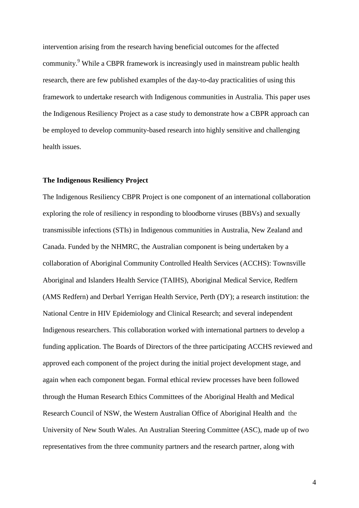intervention arising from the research having beneficial outcomes for the affected community.<sup>9</sup> While a CBPR framework is increasingly used in mainstream public health research, there are few published examples of the day-to-day practicalities of using this framework to undertake research with Indigenous communities in Australia. This paper uses the Indigenous Resiliency Project as a case study to demonstrate how a CBPR approach can be employed to develop community-based research into highly sensitive and challenging health issues.

## **The Indigenous Resiliency Project**

The Indigenous Resiliency CBPR Project is one component of an international collaboration exploring the role of resiliency in responding to bloodborne viruses (BBVs) and sexually transmissible infections (STIs) in Indigenous communities in Australia, New Zealand and Canada. Funded by the NHMRC, the Australian component is being undertaken by a collaboration of Aboriginal Community Controlled Health Services (ACCHS): Townsville Aboriginal and Islanders Health Service (TAIHS), Aboriginal Medical Service, Redfern (AMS Redfern) and Derbarl Yerrigan Health Service, Perth (DY); a research institution: the National Centre in HIV Epidemiology and Clinical Research; and several independent Indigenous researchers. This collaboration worked with international partners to develop a funding application. The Boards of Directors of the three participating ACCHS reviewed and approved each component of the project during the initial project development stage, and again when each component began. Formal ethical review processes have been followed through the Human Research Ethics Committees of the Aboriginal Health and Medical Research Council of NSW, the Western Australian Office of Aboriginal Health and the University of New South Wales. An Australian Steering Committee (ASC), made up of two representatives from the three community partners and the research partner, along with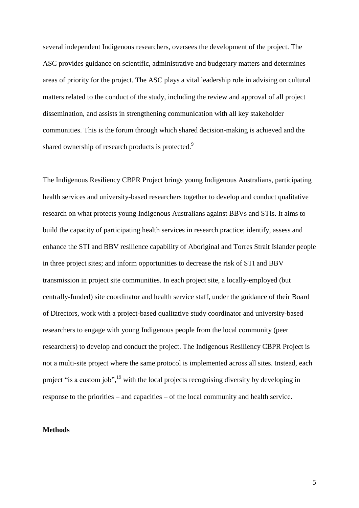several independent Indigenous researchers, oversees the development of the project. The ASC provides guidance on scientific, administrative and budgetary matters and determines areas of priority for the project. The ASC plays a vital leadership role in advising on cultural matters related to the conduct of the study, including the review and approval of all project dissemination, and assists in strengthening communication with all key stakeholder communities. This is the forum through which shared decision-making is achieved and the shared ownership of research products is protected.<sup>9</sup>

The Indigenous Resiliency CBPR Project brings young Indigenous Australians, participating health services and university-based researchers together to develop and conduct qualitative research on what protects young Indigenous Australians against BBVs and STIs. It aims to build the capacity of participating health services in research practice; identify, assess and enhance the STI and BBV resilience capability of Aboriginal and Torres Strait Islander people in three project sites; and inform opportunities to decrease the risk of STI and BBV transmission in project site communities. In each project site, a locally-employed (but centrally-funded) site coordinator and health service staff, under the guidance of their Board of Directors, work with a project-based qualitative study coordinator and university-based researchers to engage with young Indigenous people from the local community (peer researchers) to develop and conduct the project. The Indigenous Resiliency CBPR Project is not a multi-site project where the same protocol is implemented across all sites. Instead, each project "is a custom job", <sup>19</sup> with the local projects recognising diversity by developing in response to the priorities – and capacities – of the local community and health service.

#### **Methods**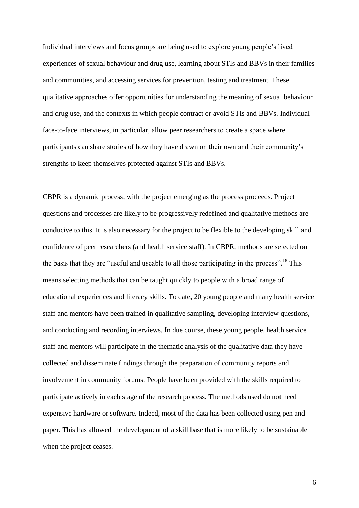Individual interviews and focus groups are being used to explore young people"s lived experiences of sexual behaviour and drug use, learning about STIs and BBVs in their families and communities, and accessing services for prevention, testing and treatment. These qualitative approaches offer opportunities for understanding the meaning of sexual behaviour and drug use, and the contexts in which people contract or avoid STIs and BBVs. Individual face-to-face interviews, in particular, allow peer researchers to create a space where participants can share stories of how they have drawn on their own and their community"s strengths to keep themselves protected against STIs and BBVs.

CBPR is a dynamic process, with the project emerging as the process proceeds. Project questions and processes are likely to be progressively redefined and qualitative methods are conducive to this. It is also necessary for the project to be flexible to the developing skill and confidence of peer researchers (and health service staff). In CBPR, methods are selected on the basis that they are "useful and useable to all those participating in the process".<sup>18</sup> This means selecting methods that can be taught quickly to people with a broad range of educational experiences and literacy skills. To date, 20 young people and many health service staff and mentors have been trained in qualitative sampling, developing interview questions, and conducting and recording interviews. In due course, these young people, health service staff and mentors will participate in the thematic analysis of the qualitative data they have collected and disseminate findings through the preparation of community reports and involvement in community forums. People have been provided with the skills required to participate actively in each stage of the research process. The methods used do not need expensive hardware or software. Indeed, most of the data has been collected using pen and paper. This has allowed the development of a skill base that is more likely to be sustainable when the project ceases.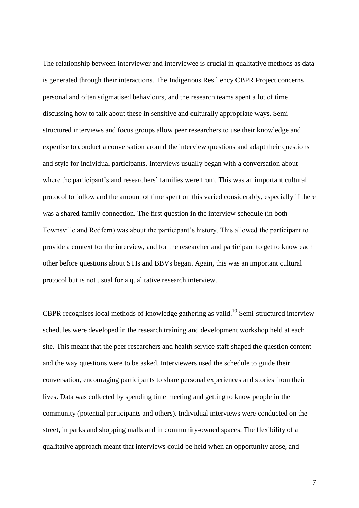The relationship between interviewer and interviewee is crucial in qualitative methods as data is generated through their interactions. The Indigenous Resiliency CBPR Project concerns personal and often stigmatised behaviours, and the research teams spent a lot of time discussing how to talk about these in sensitive and culturally appropriate ways. Semistructured interviews and focus groups allow peer researchers to use their knowledge and expertise to conduct a conversation around the interview questions and adapt their questions and style for individual participants. Interviews usually began with a conversation about where the participant's and researchers' families were from. This was an important cultural protocol to follow and the amount of time spent on this varied considerably, especially if there was a shared family connection. The first question in the interview schedule (in both Townsville and Redfern) was about the participant"s history. This allowed the participant to provide a context for the interview, and for the researcher and participant to get to know each other before questions about STIs and BBVs began. Again, this was an important cultural protocol but is not usual for a qualitative research interview.

CBPR recognises local methods of knowledge gathering as valid.<sup>19</sup> Semi-structured interview schedules were developed in the research training and development workshop held at each site. This meant that the peer researchers and health service staff shaped the question content and the way questions were to be asked. Interviewers used the schedule to guide their conversation, encouraging participants to share personal experiences and stories from their lives. Data was collected by spending time meeting and getting to know people in the community (potential participants and others). Individual interviews were conducted on the street, in parks and shopping malls and in community-owned spaces. The flexibility of a qualitative approach meant that interviews could be held when an opportunity arose, and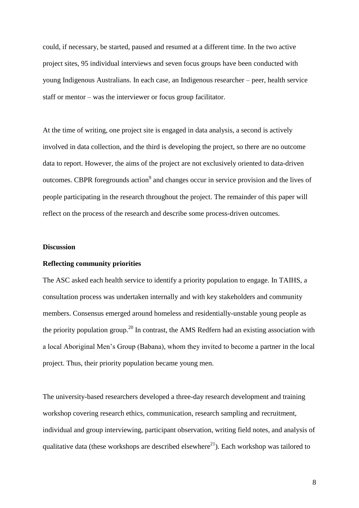could, if necessary, be started, paused and resumed at a different time. In the two active project sites, 95 individual interviews and seven focus groups have been conducted with young Indigenous Australians. In each case, an Indigenous researcher – peer, health service staff or mentor – was the interviewer or focus group facilitator.

At the time of writing, one project site is engaged in data analysis, a second is actively involved in data collection, and the third is developing the project, so there are no outcome data to report. However, the aims of the project are not exclusively oriented to data-driven outcomes. CBPR foregrounds action<sup>9</sup> and changes occur in service provision and the lives of people participating in the research throughout the project. The remainder of this paper will reflect on the process of the research and describe some process-driven outcomes.

#### **Discussion**

### **Reflecting community priorities**

The ASC asked each health service to identify a priority population to engage. In TAIHS, a consultation process was undertaken internally and with key stakeholders and community members. Consensus emerged around homeless and residentially-unstable young people as the priority population group.<sup>20</sup> In contrast, the AMS Redfern had an existing association with a local Aboriginal Men"s Group (Babana), whom they invited to become a partner in the local project. Thus, their priority population became young men.

The university-based researchers developed a three-day research development and training workshop covering research ethics, communication, research sampling and recruitment, individual and group interviewing, participant observation, writing field notes, and analysis of qualitative data (these workshops are described elsewhere<sup>21</sup>). Each workshop was tailored to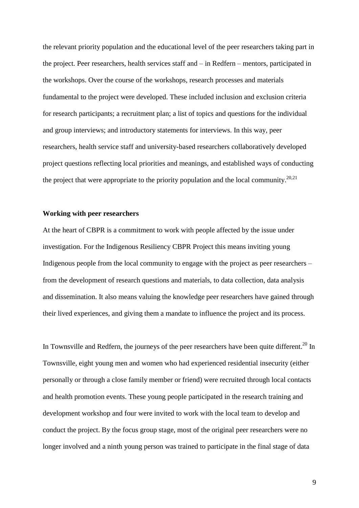the relevant priority population and the educational level of the peer researchers taking part in the project. Peer researchers, health services staff and – in Redfern – mentors, participated in the workshops. Over the course of the workshops, research processes and materials fundamental to the project were developed. These included inclusion and exclusion criteria for research participants; a recruitment plan; a list of topics and questions for the individual and group interviews; and introductory statements for interviews. In this way, peer researchers, health service staff and university-based researchers collaboratively developed project questions reflecting local priorities and meanings, and established ways of conducting the project that were appropriate to the priority population and the local community.<sup>20,21</sup>

#### **Working with peer researchers**

At the heart of CBPR is a commitment to work with people affected by the issue under investigation. For the Indigenous Resiliency CBPR Project this means inviting young Indigenous people from the local community to engage with the project as peer researchers – from the development of research questions and materials, to data collection, data analysis and dissemination. It also means valuing the knowledge peer researchers have gained through their lived experiences, and giving them a mandate to influence the project and its process.

In Townsville and Redfern, the journeys of the peer researchers have been quite different.<sup>20</sup> In Townsville, eight young men and women who had experienced residential insecurity (either personally or through a close family member or friend) were recruited through local contacts and health promotion events. These young people participated in the research training and development workshop and four were invited to work with the local team to develop and conduct the project. By the focus group stage, most of the original peer researchers were no longer involved and a ninth young person was trained to participate in the final stage of data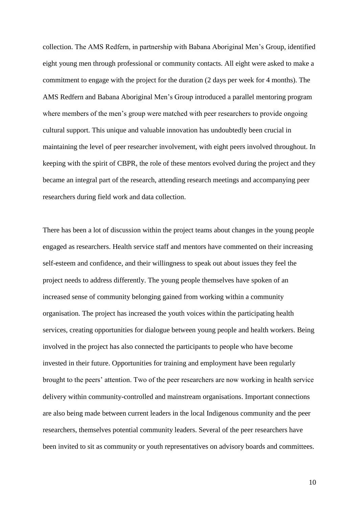collection. The AMS Redfern, in partnership with Babana Aboriginal Men"s Group, identified eight young men through professional or community contacts. All eight were asked to make a commitment to engage with the project for the duration (2 days per week for 4 months). The AMS Redfern and Babana Aboriginal Men"s Group introduced a parallel mentoring program where members of the men's group were matched with peer researchers to provide ongoing cultural support. This unique and valuable innovation has undoubtedly been crucial in maintaining the level of peer researcher involvement, with eight peers involved throughout. In keeping with the spirit of CBPR, the role of these mentors evolved during the project and they became an integral part of the research, attending research meetings and accompanying peer researchers during field work and data collection.

There has been a lot of discussion within the project teams about changes in the young people engaged as researchers. Health service staff and mentors have commented on their increasing self-esteem and confidence, and their willingness to speak out about issues they feel the project needs to address differently. The young people themselves have spoken of an increased sense of community belonging gained from working within a community organisation. The project has increased the youth voices within the participating health services, creating opportunities for dialogue between young people and health workers. Being involved in the project has also connected the participants to people who have become invested in their future. Opportunities for training and employment have been regularly brought to the peers" attention. Two of the peer researchers are now working in health service delivery within community-controlled and mainstream organisations. Important connections are also being made between current leaders in the local Indigenous community and the peer researchers, themselves potential community leaders. Several of the peer researchers have been invited to sit as community or youth representatives on advisory boards and committees.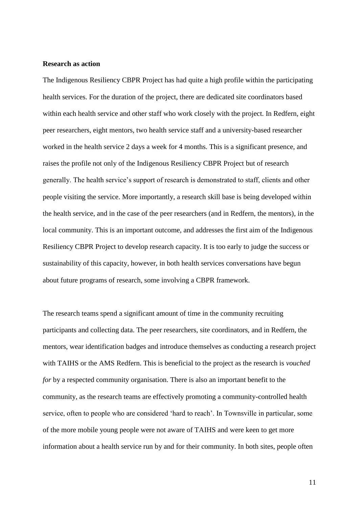### **Research as action**

The Indigenous Resiliency CBPR Project has had quite a high profile within the participating health services. For the duration of the project, there are dedicated site coordinators based within each health service and other staff who work closely with the project. In Redfern, eight peer researchers, eight mentors, two health service staff and a university-based researcher worked in the health service 2 days a week for 4 months. This is a significant presence, and raises the profile not only of the Indigenous Resiliency CBPR Project but of research generally. The health service"s support of research is demonstrated to staff, clients and other people visiting the service. More importantly, a research skill base is being developed within the health service, and in the case of the peer researchers (and in Redfern, the mentors), in the local community. This is an important outcome, and addresses the first aim of the Indigenous Resiliency CBPR Project to develop research capacity. It is too early to judge the success or sustainability of this capacity, however, in both health services conversations have begun about future programs of research, some involving a CBPR framework.

The research teams spend a significant amount of time in the community recruiting participants and collecting data. The peer researchers, site coordinators, and in Redfern, the mentors, wear identification badges and introduce themselves as conducting a research project with TAIHS or the AMS Redfern. This is beneficial to the project as the research is *vouched for* by a respected community organisation. There is also an important benefit to the community, as the research teams are effectively promoting a community-controlled health service, often to people who are considered "hard to reach". In Townsville in particular, some of the more mobile young people were not aware of TAIHS and were keen to get more information about a health service run by and for their community. In both sites, people often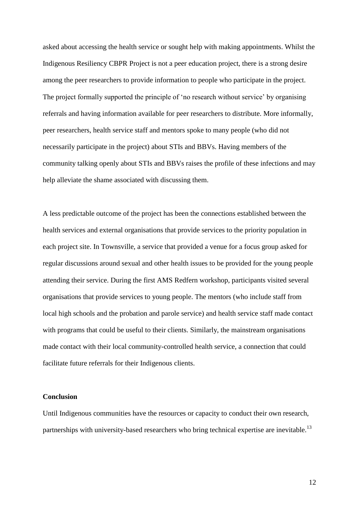asked about accessing the health service or sought help with making appointments. Whilst the Indigenous Resiliency CBPR Project is not a peer education project, there is a strong desire among the peer researchers to provide information to people who participate in the project. The project formally supported the principle of "no research without service" by organising referrals and having information available for peer researchers to distribute. More informally, peer researchers, health service staff and mentors spoke to many people (who did not necessarily participate in the project) about STIs and BBVs. Having members of the community talking openly about STIs and BBVs raises the profile of these infections and may help alleviate the shame associated with discussing them.

A less predictable outcome of the project has been the connections established between the health services and external organisations that provide services to the priority population in each project site. In Townsville, a service that provided a venue for a focus group asked for regular discussions around sexual and other health issues to be provided for the young people attending their service. During the first AMS Redfern workshop, participants visited several organisations that provide services to young people. The mentors (who include staff from local high schools and the probation and parole service) and health service staff made contact with programs that could be useful to their clients. Similarly, the mainstream organisations made contact with their local community-controlled health service, a connection that could facilitate future referrals for their Indigenous clients.

#### **Conclusion**

Until Indigenous communities have the resources or capacity to conduct their own research, partnerships with university-based researchers who bring technical expertise are inevitable.<sup>13</sup>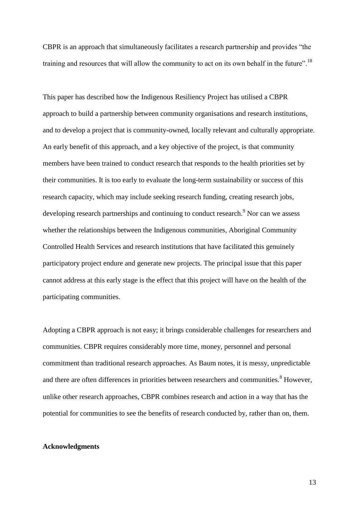CBPR is an approach that simultaneously facilitates a research partnership and provides "the training and resources that will allow the community to act on its own behalf in the future".<sup>18</sup>

This paper has described how the Indigenous Resiliency Project has utilised a CBPR approach to build a partnership between community organisations and research institutions, and to develop a project that is community-owned, locally relevant and culturally appropriate. An early benefit of this approach, and a key objective of the project, is that community members have been trained to conduct research that responds to the health priorities set by their communities. It is too early to evaluate the long-term sustainability or success of this research capacity, which may include seeking research funding, creating research jobs, developing research partnerships and continuing to conduct research.<sup>9</sup> Nor can we assess whether the relationships between the Indigenous communities, Aboriginal Community Controlled Health Services and research institutions that have facilitated this genuinely participatory project endure and generate new projects. The principal issue that this paper cannot address at this early stage is the effect that this project will have on the health of the participating communities.

Adopting a CBPR approach is not easy; it brings considerable challenges for researchers and communities. CBPR requires considerably more time, money, personnel and personal commitment than traditional research approaches. As Baum notes, it is messy, unpredictable and there are often differences in priorities between researchers and communities.<sup>8</sup> However, unlike other research approaches, CBPR combines research and action in a way that has the potential for communities to see the benefits of research conducted by, rather than on, them.

#### **Acknowledgments**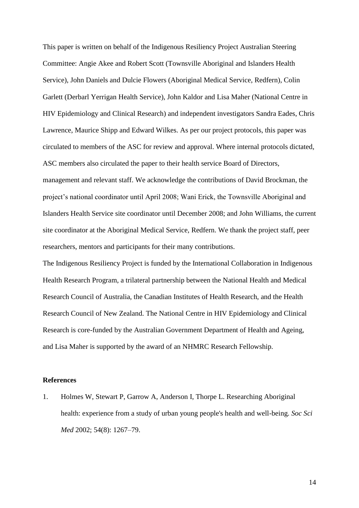This paper is written on behalf of the Indigenous Resiliency Project Australian Steering Committee: Angie Akee and Robert Scott (Townsville Aboriginal and Islanders Health Service), John Daniels and Dulcie Flowers (Aboriginal Medical Service, Redfern), Colin Garlett (Derbarl Yerrigan Health Service), John Kaldor and Lisa Maher (National Centre in HIV Epidemiology and Clinical Research) and independent investigators Sandra Eades, Chris Lawrence, Maurice Shipp and Edward Wilkes. As per our project protocols, this paper was circulated to members of the ASC for review and approval. Where internal protocols dictated, ASC members also circulated the paper to their health service Board of Directors, management and relevant staff. We acknowledge the contributions of David Brockman, the project"s national coordinator until April 2008; Wani Erick, the Townsville Aboriginal and Islanders Health Service site coordinator until December 2008; and John Williams, the current site coordinator at the Aboriginal Medical Service, Redfern. We thank the project staff, peer researchers, mentors and participants for their many contributions.

The Indigenous Resiliency Project is funded by the International Collaboration in Indigenous Health Research Program, a trilateral partnership between the National Health and Medical Research Council of Australia, the Canadian Institutes of Health Research, and the Health Research Council of New Zealand. The National Centre in HIV Epidemiology and Clinical Research is core-funded by the Australian Government Department of Health and Ageing, and Lisa Maher is supported by the award of an NHMRC Research Fellowship.

### **References**

1. Holmes W, Stewart P, Garrow A, Anderson I, Thorpe L. Researching Aboriginal health: experience from a study of urban young people's health and well-being. *Soc Sci Med* 2002; 54(8): 1267–79.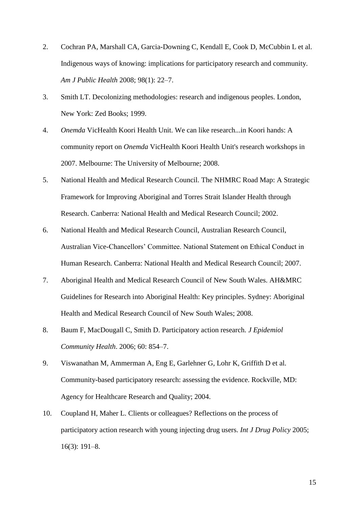- 2. Cochran PA, Marshall CA, Garcia-Downing C, Kendall E, Cook D, McCubbin L et al. Indigenous ways of knowing: implications for participatory research and community. *Am J Public Health* 2008; 98(1): 22–7.
- 3. Smith LT. Decolonizing methodologies: research and indigenous peoples. London, New York: Zed Books; 1999.
- 4. *Onemda* VicHealth Koori Health Unit. We can like research...in Koori hands: A community report on *Onemda* VicHealth Koori Health Unit's research workshops in 2007. Melbourne: The University of Melbourne; 2008.
- 5. National Health and Medical Research Council. The NHMRC Road Map: A Strategic Framework for Improving Aboriginal and Torres Strait Islander Health through Research. Canberra: National Health and Medical Research Council; 2002.
- 6. National Health and Medical Research Council, Australian Research Council, Australian Vice-Chancellors" Committee. National Statement on Ethical Conduct in Human Research. Canberra: National Health and Medical Research Council; 2007.
- 7. Aboriginal Health and Medical Research Council of New South Wales. AH&MRC Guidelines for Research into Aboriginal Health: Key principles. Sydney: Aboriginal Health and Medical Research Council of New South Wales; 2008.
- 8. Baum F, MacDougall C, Smith D. Participatory action research. *J Epidemiol Community Health*. 2006; 60: 854–7.
- 9. Viswanathan M, Ammerman A, Eng E, Garlehner G, Lohr K, Griffith D et al. Community-based participatory research: assessing the evidence. Rockville, MD: Agency for Healthcare Research and Quality; 2004.
- 10. Coupland H, Maher L. Clients or colleagues? Reflections on the process of participatory action research with young injecting drug users. *Int J Drug Policy* 2005; 16(3): 191–8.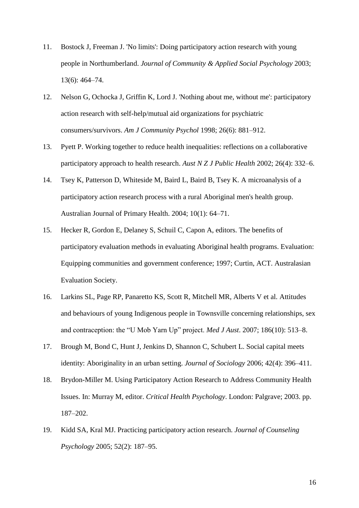- 11. Bostock J, Freeman J. 'No limits': Doing participatory action research with young people in Northumberland. *Journal of Community & Applied Social Psychology* 2003; 13(6): 464–74.
- 12. Nelson G, Ochocka J, Griffin K, Lord J. 'Nothing about me, without me': participatory action research with self-help/mutual aid organizations for psychiatric consumers/survivors. *Am J Community Psychol* 1998; 26(6): 881–912.
- 13. Pyett P. Working together to reduce health inequalities: reflections on a collaborative participatory approach to health research. *Aust N Z J Public Health* 2002; 26(4): 332–6.
- 14. Tsey K, Patterson D, Whiteside M, Baird L, Baird B, Tsey K. A microanalysis of a participatory action research process with a rural Aboriginal men's health group. Australian Journal of Primary Health. 2004; 10(1): 64–71.
- 15. Hecker R, Gordon E, Delaney S, Schuil C, Capon A, editors. The benefits of participatory evaluation methods in evaluating Aboriginal health programs. Evaluation: Equipping communities and government conference; 1997; Curtin, ACT. Australasian Evaluation Society.
- 16. Larkins SL, Page RP, Panaretto KS, Scott R, Mitchell MR, Alberts V et al. Attitudes and behaviours of young Indigenous people in Townsville concerning relationships, sex and contraception: the "U Mob Yarn Up" project. *Med J Aust*. 2007; 186(10): 513–8.
- 17. Brough M, Bond C, Hunt J, Jenkins D, Shannon C, Schubert L. Social capital meets identity: Aboriginality in an urban setting. *Journal of Sociology* 2006; 42(4): 396–411.
- 18. Brydon-Miller M. Using Participatory Action Research to Address Community Health Issues. In: Murray M, editor. *Critical Health Psychology*. London: Palgrave; 2003. pp. 187–202.
- 19. Kidd SA, Kral MJ. Practicing participatory action research. *Journal of Counseling Psychology* 2005; 52(2): 187–95.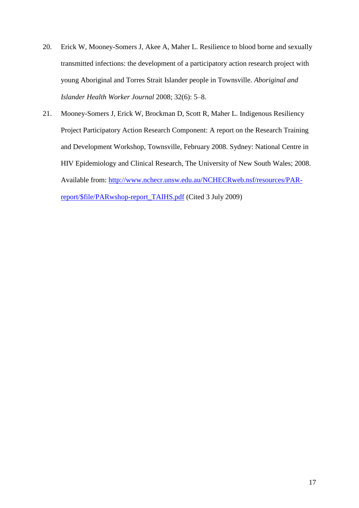- 20. Erick W, Mooney-Somers J, Akee A, Maher L. Resilience to blood borne and sexually transmitted infections: the development of a participatory action research project with young Aboriginal and Torres Strait Islander people in Townsville. *Aboriginal and Islander Health Worker Journal* 2008; 32(6): 5–8.
- 21. Mooney-Somers J, Erick W, Brockman D, Scott R, Maher L. Indigenous Resiliency Project Participatory Action Research Component: A report on the Research Training and Development Workshop, Townsville, February 2008. Sydney: National Centre in HIV Epidemiology and Clinical Research, The University of New South Wales; 2008. Available from: [http://www.nchecr.unsw.edu.au/NCHECRweb.nsf/resources/PAR](http://www.nchecr.unsw.edu.au/NCHECRweb.nsf/resources/PAR-report/$file/PARwshop-report_TAIHS.pdf)[report/\\$file/PARwshop-report\\_TAIHS.pdf](http://www.nchecr.unsw.edu.au/NCHECRweb.nsf/resources/PAR-report/$file/PARwshop-report_TAIHS.pdf) (Cited 3 July 2009)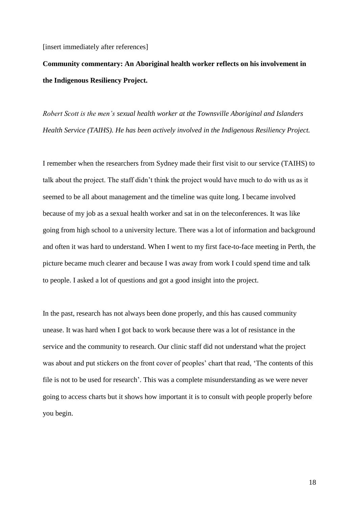[insert immediately after references]

**Community commentary: An Aboriginal health worker reflects on his involvement in the Indigenous Resiliency Project.**

*Robert Scott is the men's sexual health worker at the Townsville Aboriginal and Islanders Health Service (TAIHS). He has been actively involved in the Indigenous Resiliency Project.* 

I remember when the researchers from Sydney made their first visit to our service (TAIHS) to talk about the project. The staff didn"t think the project would have much to do with us as it seemed to be all about management and the timeline was quite long. I became involved because of my job as a sexual health worker and sat in on the teleconferences. It was like going from high school to a university lecture. There was a lot of information and background and often it was hard to understand. When I went to my first face-to-face meeting in Perth, the picture became much clearer and because I was away from work I could spend time and talk to people. I asked a lot of questions and got a good insight into the project.

In the past, research has not always been done properly, and this has caused community unease. It was hard when I got back to work because there was a lot of resistance in the service and the community to research. Our clinic staff did not understand what the project was about and put stickers on the front cover of peoples' chart that read, 'The contents of this file is not to be used for research'. This was a complete misunderstanding as we were never going to access charts but it shows how important it is to consult with people properly before you begin.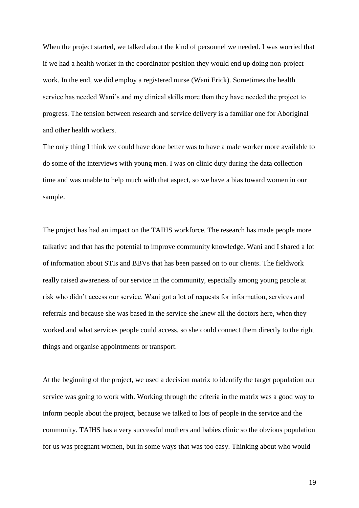When the project started, we talked about the kind of personnel we needed. I was worried that if we had a health worker in the coordinator position they would end up doing non-project work. In the end, we did employ a registered nurse (Wani Erick). Sometimes the health service has needed Wani"s and my clinical skills more than they have needed the project to progress. The tension between research and service delivery is a familiar one for Aboriginal and other health workers.

The only thing I think we could have done better was to have a male worker more available to do some of the interviews with young men. I was on clinic duty during the data collection time and was unable to help much with that aspect, so we have a bias toward women in our sample.

The project has had an impact on the TAIHS workforce. The research has made people more talkative and that has the potential to improve community knowledge. Wani and I shared a lot of information about STIs and BBVs that has been passed on to our clients. The fieldwork really raised awareness of our service in the community, especially among young people at risk who didn"t access our service. Wani got a lot of requests for information, services and referrals and because she was based in the service she knew all the doctors here, when they worked and what services people could access, so she could connect them directly to the right things and organise appointments or transport.

At the beginning of the project, we used a decision matrix to identify the target population our service was going to work with. Working through the criteria in the matrix was a good way to inform people about the project, because we talked to lots of people in the service and the community. TAIHS has a very successful mothers and babies clinic so the obvious population for us was pregnant women, but in some ways that was too easy. Thinking about who would